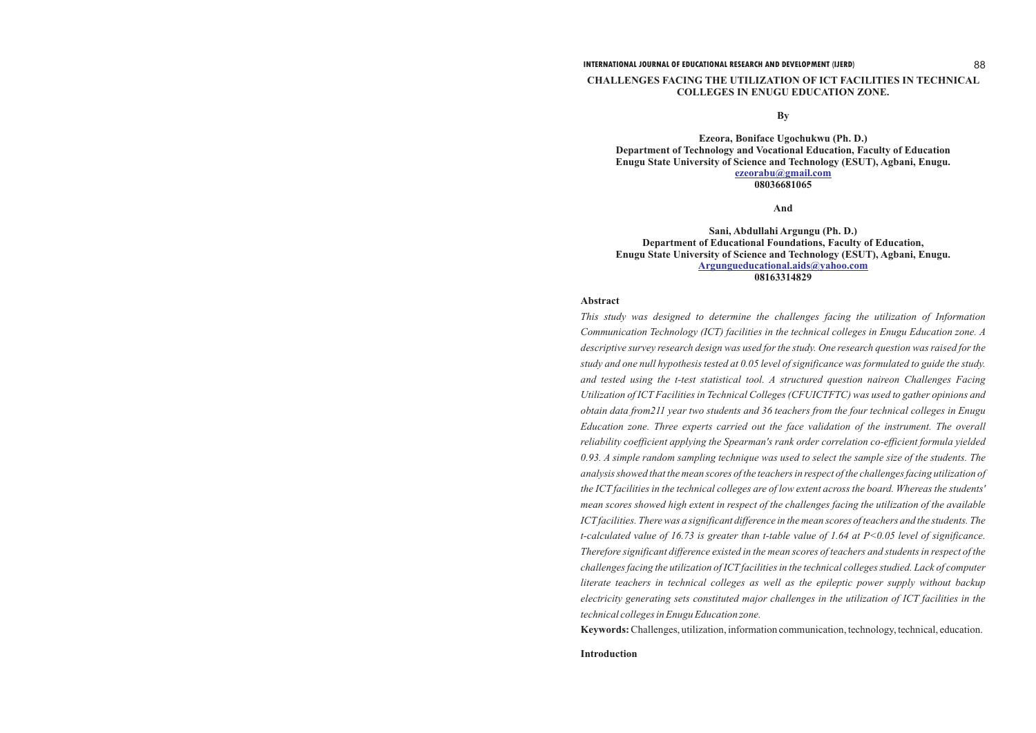**CHALLENGES FACING THE UTILIZATION OF ICT FACILITIES IN TECHNICAL**

# **COLLEGES IN ENUGU EDUCATION ZONE.**

**By**

### **And**

# **Abstract**

**Ezeora, Boniface Ugochukwu (Ph. D.) Department of Technology and Vocational Education, Faculty of Education Enugu State University of Science and Technology (ESUT), Agbani, Enugu. 08036681065 [ezeorabu@gmail.com](mailto:ezeorabu@gmail.com)**

**Sani, Abdullahi Argungu (Ph. D.) Department of Educational Foundations, Faculty of Education, Enugu State University of Science and Technology (ESUT), Agbani, Enugu. 08163314829 [Argungueducational.aids@yahoo.com](mailto:Argungueducational.aids@yahoo.com)**

*This study was designed to determine the challenges facing the utilization of Information Communication Technology (ICT) facilities in the technical colleges in Enugu Education zone. A descriptive survey research design was used for the study. One research question was raised for the study and one null hypothesis tested at 0.05 level of significance was formulated to guide the study. and tested using the t-test statistical tool. A structured question naireon Challenges Facing Utilization of ICT Facilities in Technical Colleges (CFUICTFTC) was used to gather opinions and obtain data from211 year two students and 36 teachers from the four technical colleges in Enugu Education zone. Three experts carried out the face validation of the instrument. The overall reliability coefficient applying the Spearman's rank order correlation co-efficient formula yielded 0.93. A simple random sampling technique was used to select the sample size of the students. The analysis showed that the mean scores of the teachers in respect of the challenges facing utilization of the ICT facilities in the technical colleges are of low extent across the board. Whereas the students' mean scores showed high extent in respect of the challenges facing the utilization of the available ICTfacilities. There was a significant difference in the mean scores of teachers and the students. The t-calculated value of 16.73 is greater than t-table value of 1.64 at P<0.05 level of significance. Therefore significant difference existed in the mean scores of teachers and students in respect of the challenges facing the utilization of ICT facilities in the technical colleges studied. Lack of computer literate teachers in technical colleges as well as the epileptic power supply without backup electricity generating sets constituted major challenges in the utilization of ICT facilities in the technical colleges in Enugu Education zone.* **Keywords:**Challenges, utilization, information communication, technology, technical, education.

**Introduction**

### **INTERNATIONAL JOURNAL OF EDUCATIONAL RESEARCH AND DEVELOPMENT (IJERD)** 88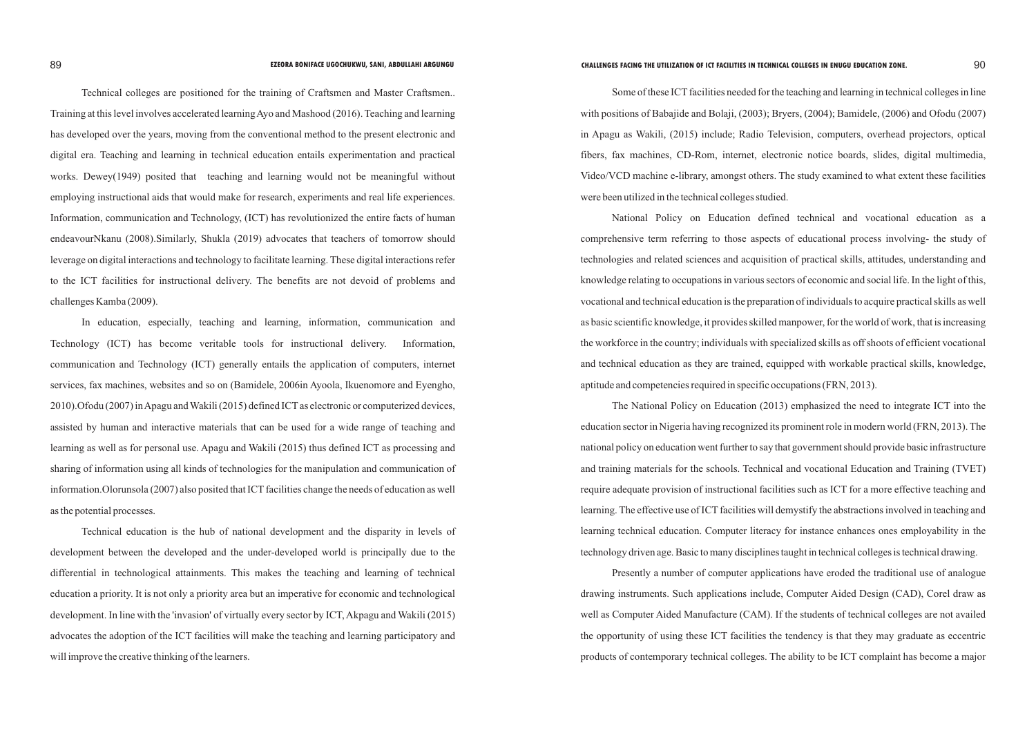Technical colleges are positioned for the training of Craftsmen and Master Craftsmen.. Training at this level involves accelerated learning Ayo and Mashood (2016). Teaching and learning has developed over the years, moving from the conventional method to the present electronic and digital era. Teaching and learning in technical education entails experimentation and practical works. Dewey(1949) posited that teaching and learning would not be meaningful without employing instructional aids that would make for research, experiments and real life experiences. Information, communication and Technology, (ICT) has revolutionized the entire facts of human endeavourNkanu (2008).Similarly, Shukla (2019) advocates that teachers of tomorrow should leverage on digital interactions and technology to facilitate learning. These digital interactions refer to the ICT facilities for instructional delivery. The benefits are not devoid of problems and challenges Kamba (2009).

In education, especially, teaching and learning, information, communication and Technology (ICT) has become veritable tools for instructional delivery. Information, communication and Technology (ICT) generally entails the application of computers, internet services, fax machines, websites and so on (Bamidele, 2006in Ayoola, Ikuenomore and Eyengho, 2010).Ofodu (2007) in Apagu and Wakili (2015) defined ICTas electronic or computerized devices, assisted by human and interactive materials that can be used for a wide range of teaching and learning as well as for personal use. Apagu and Wakili (2015) thus defined ICT as processing and sharing of information using all kinds of technologies for the manipulation and communication of information. Olorunsola (2007) also posited that ICT facilities change the needs of education as well as the potential processes.

Some of these ICT facilities needed for the teaching and learning in technical colleges in line with positions of Babajide and Bolaji, (2003); Bryers, (2004); Bamidele, (2006) and Ofodu (2007) in Apagu as Wakili, (2015) include; Radio Television, computers, overhead projectors, optical fibers, fax machines, CD-Rom, internet, electronic notice boards, slides, digital multimedia, Video/VCD machine e-library, amongst others. The study examined to what extent these facilities were been utilized in the technical colleges studied.

Technical education is the hub of national development and the disparity in levels of development between the developed and the under-developed world is principally due to the differential in technological attainments. This makes the teaching and learning of technical education a priority. It is not only a priority area but an imperative for economic and technological development. In line with the 'invasion' of virtually every sector by ICT, Akpagu and Wakili (2015) advocates the adoption of the ICT facilities will make the teaching and learning participatory and will improve the creative thinking of the learners.

National Policy on Education defined technical and vocational education as a comprehensive term referring to those aspects of educational process involving- the study of technologies and related sciences and acquisition of practical skills, attitudes, understanding and knowledge relating to occupations in various sectors of economic and social life. In the light of this, vocational and technical education is the preparation of individuals to acquire practical skills as well as basic scientific knowledge, it provides skilled manpower, for the world of work, that is increasing the workforce in the country; individuals with specialized skills as off shoots of efficient vocational and technical education as they are trained, equipped with workable practical skills, knowledge, aptitude and competencies required in specific occupations (FRN, 2013).

The National Policy on Education (2013) emphasized the need to integrate ICT into the education sector in Nigeria having recognized its prominent role in modern world (FRN, 2013). The national policy on education went further to say that government should provide basic infrastructure and training materials for the schools. Technical and vocational Education and Training (TVET) require adequate provision of instructional facilities such as ICT for a more effective teaching and learning. The effective use of ICT facilities will demystify the abstractions involved in teaching and learning technical education. Computer literacy for instance enhances ones employability in the technology driven age. Basic to many disciplines taught in technical colleges is technical drawing.

Presently a number of computer applications have eroded the traditional use of analogue drawing instruments. Such applications include, Computer Aided Design (CAD), Corel draw as well as Computer Aided Manufacture (CAM). If the students of technical colleges are not availed the opportunity of using these ICT facilities the tendency is that they may graduate as eccentric products of contemporary technical colleges. The ability to be ICT complaint has become a major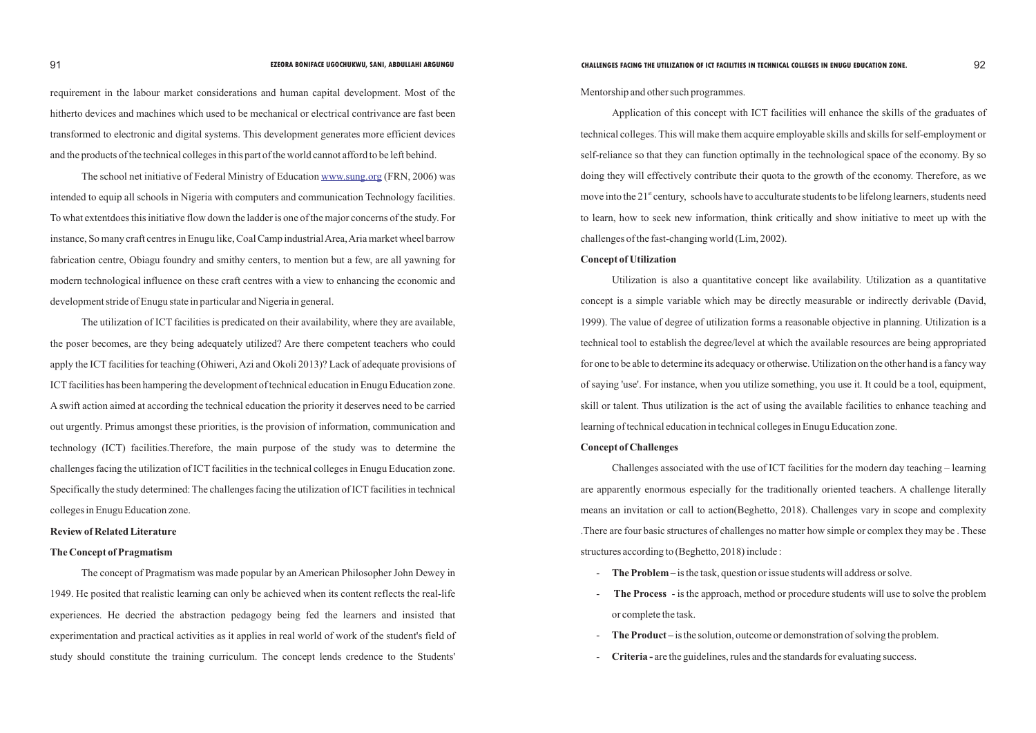requirement in the labour market considerations and human capital development. Most of the hitherto devices and machines which used to be mechanical or electrical contrivance are fast been transformed to electronic and digital systems. This development generates more efficient devices and the products of the technical colleges in this part of the world cannot afford to be left behind.

Theschool net initiative of Federal Ministry of Education www.sung.org (FRN, 2006) was intended to equip all schools in Nigeria with computers and communication Technology facilities. To what extentdoes this initiative flow down the ladder is one of the major concerns of the study. For instance, So many craft centres in Enugu like, Coal Camp industrial Area, Aria market wheel barrow fabrication centre, Obiagu foundry and smithy centers, to mention but a few, are all yawning for modern technological influence on these craft centres with a view to enhancing the economic and development stride of Enugu state in particular and Nigeria in general.

The utilization of ICT facilities is predicated on their availability, where they are available, the poser becomes, are they being adequately utilized? Are there competent teachers who could apply the ICT facilities for teaching (Ohiweri, Azi and Okoli 2013)? Lack of adequate provisions of ICT facilities has been hampering the development of technical education in Enugu Education zone. A swift action aimed at according the technical education the priority it deserves need to be carried out urgently. Primus amongst these priorities, is the provision of information, communication and technology (ICT) facilities.Therefore, the main purpose of the study was to determine the challenges facing the utilization of ICT facilities in the technical colleges in Enugu Education zone. Specifically the study determined: The challenges facing the utilization of ICT facilities in technical colleges in Enugu Education zone.

# **Review of Related Literature**

# **The Concept of Pragmatism**

The concept of Pragmatism was made popular by an American Philosopher John Dewey in 1949. He posited that realistic learning can only be achieved when its content reflects the real-life experiences. He decried the abstraction pedagogy being fed the learners and insisted that experimentation and practical activities as it applies in real world of work of the student's field of study should constitute the training curriculum. The concept lends credence to the Students'

Mentorship and other such programmes.

Application of this concept with ICT facilities will enhance the skills of the graduates of technical colleges. This will make them acquire employable skills and skills for self-employment or self-reliance so that they can function optimally in the technological space of the economy. By so doing they will effectively contribute their quota to the growth of the economy. Therefore, as we move into the  $21<sup>st</sup>$  century, schools have to acculturate students to be lifelong learners, students need to learn, how to seek new information, think critically and show initiative to meet up with the challenges of the fast-changing world (Lim, 2002). **Concept of Utilization** 

Utilization is also a quantitative concept like availability. Utilization as a quantitative concept is a simple variable which may be directly measurable or indirectly derivable (David, 1999). The value of degree of utilization forms a reasonable objective in planning. Utilization is a technical tool to establish the degree/level at which the available resources are being appropriated for one to be able to determine its adequacy or otherwise. Utilization on the other hand is a fancy way of saying 'use'. For instance, when you utilize something, you use it. It could be a tool, equipment, skill or talent. Thus utilization is the act of using the available facilities to enhance teaching and learning of technical education in technical colleges in Enugu Education zone.

# **Concept of Challenges**

Challenges associated with the use of ICT facilities for the modern day teaching – learning are apparently enormous especially for the traditionally oriented teachers. A challenge literally means an invitation or call to action(Beghetto, 2018). Challenges vary in scope and complexity .There are four basic structures of challenges no matter how simple or complex they may be . These structures according to (Beghetto, 2018) include :

- **The Process** - is the approach, method or procedure students will use to solve the problem

- **The Problem** is the task, question or issue students will address or solve.
- or complete the task.
- **The Product** is the solution, outcome or demonstration of solving the problem.
- **Criteria -** are the guidelines, rules and the standards for evaluating success.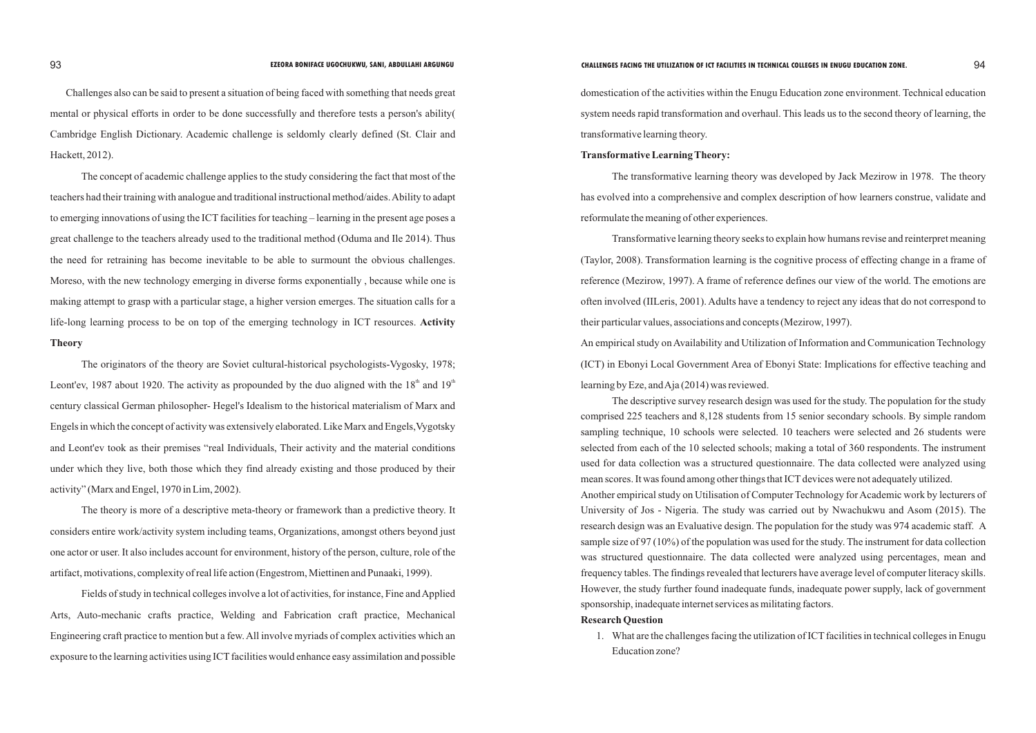Challenges also can be said to present a situation of being faced with something that needs great mental or physical efforts in order to be done successfully and therefore tests a person's ability( Cambridge English Dictionary. Academic challenge is seldomly clearly defined (St. Clair and Hackett, 2012).

The concept of academic challenge applies to the study considering the fact that most of the teachers had their training with analogue and traditional instructional method/aides. Ability to adapt to emerging innovations of using the ICT facilities for teaching – learning in the present age poses a great challenge to the teachers already used to the traditional method (Oduma and Ile 2014). Thus the need for retraining has become inevitable to be able to surmount the obvious challenges. Moreso, with the new technology emerging in diverse forms exponentially , because while one is making attempt to grasp with a particular stage, a higher version emerges. The situation calls for a life-long learning process to be on top of the emerging technology in ICT resources. **Activity Theory** 

Fields of study in technical colleges involve a lot of activities, for instance, Fine and Applied Arts, Auto-mechanic crafts practice, Welding and Fabrication craft practice, Mechanical Engineering craft practice to mention but a few. All involve myriads of complex activities which an exposure to the learning activities using ICT facilities would enhance easy assimilation and possible

The originators of the theory are Soviet cultural-historical psychologists-Vygosky, 1978; Leont'ev, 1987 about 1920. The activity as propounded by the duo aligned with the  $18<sup>th</sup>$  and  $19<sup>th</sup>$ century classical German philosopher- Hegel's Idealism to the historical materialism of Marx and Engels in which the concept of activity was extensively elaborated. Like Marx and Engels,Vygotsky and Leont'ev took as their premises "real Individuals, Their activity and the material conditions under which they live, both those which they find already existing and those produced by their activity" (Marx and Engel, 1970 in Lim, 2002).

The theory is more of a descriptive meta-theory or framework than a predictive theory. It considers entire work/activity system including teams, Organizations, amongst others beyond just one actor or user. It also includes account for environment, history of the person, culture, role of the artifact, motivations, complexity of real life action (Engestrom, Miettinen and Punaaki, 1999).

domestication of the activities within the Enugu Education zone environment. Technical education system needs rapid transformation and overhaul. This leads us to the second theory of learning, the transformative learning theory.

## **Transformative Learning Theory:**

The transformative learning theory was developed by Jack Mezirow in 1978. The theory has evolved into a comprehensive and complex description of how learners construe, validate and reformulate the meaning of other experiences.

Transformative learning theory seeks to explain how humans revise and reinterpret meaning (Taylor, 2008). Transformation learning is the cognitive process of effecting change in a frame of reference (Mezirow, 1997). A frame of reference defines our view of the world. The emotions are often involved (IILeris, 2001). Adults have a tendency to reject any ideas that do not correspond to their particular values, associations and concepts (Mezirow, 1997). An empirical study on Availability and Utilization of Information and Communication Technology (ICT) in Ebonyi Local Government Area of Ebonyi State: Implications for effective teaching and learning by Eze, and Aja (2014) was reviewed.

The descriptive survey research design was used for the study. The population for the study comprised 225 teachers and 8,128 students from 15 senior secondary schools. By simple random sampling technique, 10 schools were selected. 10 teachers were selected and 26 students were selected from each of the 10 selected schools; making a total of 360 respondents. The instrument used for data collection was a structured questionnaire. The data collected were analyzed using mean scores. It was found among other things that ICT devices were not adequately utilized. Another empirical study on Utilisation of Computer Technology for Academic work by lecturers of University of Jos - Nigeria. The study was carried out by Nwachukwu and Asom (2015). The research design was an Evaluative design. The population for the study was 974 academic staff. A sample size of 97 (10%) of the population was used for the study. The instrument for data collection was structured questionnaire. The data collected were analyzed using percentages, mean and frequency tables. The findings revealed that lecturers have average level of computer literacy skills. However, the study further found inadequate funds, inadequate power supply, lack of government sponsorship, inadequate internet services as militating factors. **Research Question**

Education zone?

1. What are the challenges facing the utilization of ICT facilities in technical colleges in Enugu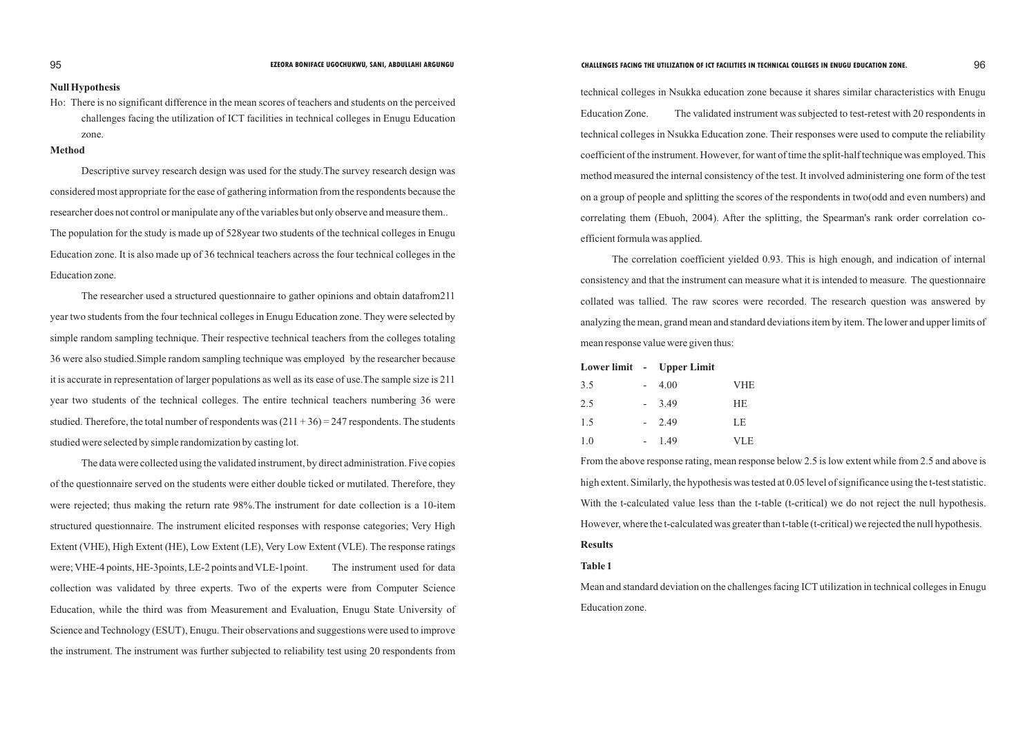## **Null Hypothesis**

Ho: There is no significant difference in the mean scores of teachers and students on the perceived challenges facing the utilization of ICT facilities in technical colleges in Enugu Education zone.

# **Method**

Descriptive survey research design was used for the study.The survey research design was considered most appropriate for the ease of gathering information from the respondents because the researcher does not control or manipulate any of the variables but only observe and measure them.. The population for the study is made up of 528year two students of the technical colleges in Enugu Education zone. It is also made up of 36 technical teachers across the four technical colleges in the Education zone.

The researcher used a structured questionnaire to gather opinions and obtain datafrom211 year two students from the four technical colleges in Enugu Education zone. They were selected by simple random sampling technique. Their respective technical teachers from the colleges totaling 36 were also studied.Simple random sampling technique was employed by the researcher because it is accurate in representation of larger populations as well as its ease of use.The sample size is 211 year two students of the technical colleges. The entire technical teachers numbering 36 were studied. Therefore, the total number of respondents was  $(211 + 36) = 247$  respondents. The students studied were selected by simple randomization by casting lot.

The data were collected using the validated instrument, by direct administration. Five copies of the questionnaire served on the students were either double ticked or mutilated. Therefore, they were rejected; thus making the return rate 98%.The instrument for date collection is a 10-item structured questionnaire. The instrument elicited responses with response categories; Very High Extent (VHE), High Extent (HE), Low Extent (LE), Very Low Extent (VLE). The response ratings were; VHE-4 points, HE-3points, LE-2 points and VLE-1point. The instrument used for data collection was validated by three experts. Two of the experts were from Computer Science Education, while the third was from Measurement and Evaluation, Enugu State University of Science and Technology (ESUT), Enugu. Their observations and suggestions were used to improve the instrument. The instrument was further subjected to reliability test using 20 respondents from

Mean and standard deviation on the challenges facing ICT utilization in technical colleges in Enugu Education zone.

technical colleges in Nsukka education zone because it shares similar characteristics with Enugu Education Zone. The validated instrument was subjected to test-retest with 20 respondents in technical colleges in Nsukka Education zone. Their responses were used to compute the reliability coefficient of the instrument. However, for want of time the split-half technique was employed. This method measured the internal consistency of the test. It involved administering one form of the test on a group of people and splitting the scores of the respondents in two(odd and even numbers) and correlating them (Ebuoh, 2004). After the splitting, the Spearman's rank order correlation coefficient formula was applied.

The correlation coefficient yielded 0.93. This is high enough, and indication of internal consistency and that the instrument can measure what it is intended to measure. The questionnaire collated was tallied. The raw scores were recorded. The research question was answered by analyzing the mean, grand mean and standard deviations item by item. The lower and upper limits of mean response value were given thus:

|     | Lower limit - Upper Limit |            |
|-----|---------------------------|------------|
| 3.5 | 4.00                      | <b>VHE</b> |
| 2.5 | 3.49                      | HE         |
| 1.5 | 2.49                      | LE         |
| 1.0 | 149                       | <b>VLE</b> |

From the above response rating, mean response below 2.5 is low extent while from 2.5 and above is high extent. Similarly, the hypothesis was tested at 0.05 level of significance using the t-test statistic. With the t-calculated value less than the t-table (t-critical) we do not reject the null hypothesis. However, where the t-calculated was greater than t-table (t-critical) we rejected the null hypothesis. **Results** 

# **Table 1**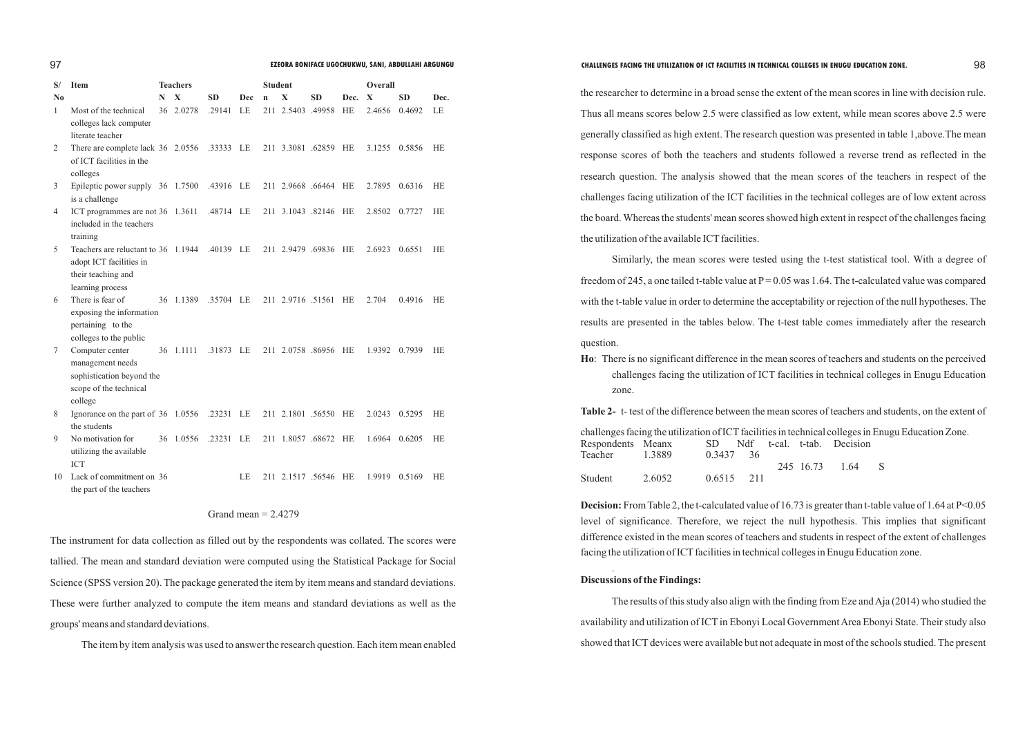| S/             | <b>Item</b>                                                             |   | <b>Teachers</b>     |           |            | <b>Student</b> |                   |                      |           | Overall |           |           |
|----------------|-------------------------------------------------------------------------|---|---------------------|-----------|------------|----------------|-------------------|----------------------|-----------|---------|-----------|-----------|
| N <sub>0</sub> |                                                                         | N | X                   | <b>SD</b> | <b>Dec</b> | $\mathbf n$    | $\mathbf{X}$      | <b>SD</b>            | Dec.      | X       | <b>SD</b> | Dec.      |
| 1              | Most of the technical                                                   |   | 36 2.0278           | .29141    | LE         |                | 211 2.5403 .49958 |                      | <b>HE</b> | 2.4656  | 0.4692    | LE        |
|                | colleges lack computer                                                  |   |                     |           |            |                |                   |                      |           |         |           |           |
|                | literate teacher                                                        |   |                     |           |            |                |                   |                      |           |         |           |           |
| 2              | There are complete lack 36 2.0556 .33333 LE<br>of ICT facilities in the |   |                     |           |            |                |                   | 211 3.3081 .62859 HE |           | 3.1255  | 0.5856    | <b>HE</b> |
|                | colleges                                                                |   |                     |           |            |                |                   |                      |           |         |           |           |
| 3              | Epileptic power supply 36 1.7500 .43916 LE                              |   |                     |           |            |                |                   | 211 2.9668 .66464 HE |           | 2.7895  | 0.6316    | HE        |
|                | is a challenge                                                          |   |                     |           |            |                |                   |                      |           |         |           |           |
| 4              | ICT programmes are not 36 1.3611                                        |   |                     | .48714 LE |            |                |                   | 211 3.1043 .82146    | HE        | 2.8502  | 0.7727    | <b>HE</b> |
|                | included in the teachers                                                |   |                     |           |            |                |                   |                      |           |         |           |           |
|                | training                                                                |   |                     |           |            |                |                   |                      |           |         |           |           |
| 5              | Teachers are reluctant to 36 1.1944                                     |   |                     | .40139 LE |            |                |                   | 211 2.9479 .69836    | HE        | 2.6923  | 0.6551    | HE        |
|                | adopt ICT facilities in                                                 |   |                     |           |            |                |                   |                      |           |         |           |           |
|                | their teaching and                                                      |   |                     |           |            |                |                   |                      |           |         |           |           |
|                | learning process                                                        |   |                     |           |            |                |                   |                      |           |         |           |           |
| 6              | There is fear of                                                        |   | 36 1.1389 .35704 LE |           |            |                |                   | 211 2.9716 .51561 HE |           | 2.704   | 0.4916    | <b>HE</b> |
|                | exposing the information                                                |   |                     |           |            |                |                   |                      |           |         |           |           |
|                | pertaining to the                                                       |   |                     |           |            |                |                   |                      |           |         |           |           |
|                | colleges to the public                                                  |   |                     |           |            |                |                   |                      |           |         |           |           |
| 7              | Computer center                                                         |   | 36 1.1111           | .31873 LE |            |                |                   | 211 2.0758 .86956 HE |           | 1.9392  | 0.7939    | <b>HE</b> |
|                | management needs                                                        |   |                     |           |            |                |                   |                      |           |         |           |           |
|                | sophistication beyond the                                               |   |                     |           |            |                |                   |                      |           |         |           |           |
|                | scope of the technical                                                  |   |                     |           |            |                |                   |                      |           |         |           |           |
|                | college                                                                 |   |                     |           |            |                |                   |                      |           |         |           |           |
| 8              | Ignorance on the part of 36 1.0556 .23231 LE                            |   |                     |           |            |                |                   | 211 2.1801 .56550 HE |           | 2.0243  | 0.5295    | <b>HE</b> |
|                | the students                                                            |   |                     |           |            |                |                   |                      |           |         |           |           |
| 9              | No motivation for                                                       |   | 36 1.0556           | .23231 LE |            |                |                   | 211 1.8057 .68672    | HE        | 1.6964  | 0.6205    | <b>HE</b> |
|                | utilizing the available                                                 |   |                     |           |            |                |                   |                      |           |         |           |           |
|                | <b>ICT</b>                                                              |   |                     |           |            |                |                   |                      |           |         |           |           |
| 10             | Lack of commitment on 36                                                |   |                     |           | LE         |                | 211 2.1517 .56546 |                      | HE        | 1.9919  | 0.5169    | <b>HE</b> |
|                | the part of the teachers                                                |   |                     |           |            |                |                   |                      |           |         |           |           |

# Grand mean  $= 2.4279$

the researcher to determine in a broad sense the extent of the mean scores in line with decision rule. Thus all means scores below 2.5 were classified as low extent, while mean scores above 2.5 were generally classified as high extent. The research question was presented in table 1,above.The mean response scores of both the teachers and students followed a reverse trend as reflected in the research question. The analysis showed that the mean scores of the teachers in respect of the challenges facing utilization of the ICT facilities in the technical colleges are of low extent across the board. Whereas the students' mean scores showed high extent in respect of the challenges facing the utilization of the available ICT facilities.

The instrument for data collection as filled out by the respondents was collated. The scores were tallied. The mean and standard deviation were computed using the Statistical Package for Social Science (SPSS version 20). The package generated the item by item means and standard deviations. These were further analyzed to compute the item means and standard deviations as well as the groups' means and standard deviations.

**Table 2-** t- test of the difference between the mean scores of teachers and students, on the extent of in technical colleges in Enugu Education Zone. al. t-tab. Decision

The item by item analysis was used to answer the research question. Each item mean enabled

The results of this study also align with the finding from Eze and Aja (2014) who studied the availability and utilization of ICT in Ebonyi Local Government Area Ebonyi State. Their study also showed that ICT devices were available but not adequate in most of the schools studied. The present

Similarly, the mean scores were tested using the t-test statistical tool. With a degree of freedom of 245, a one tailed t-table value at  $P = 0.05$  was 1.64. The t-calculated value was compared with the t-table value in order to determine the acceptability or rejection of the null hypotheses. The results are presented in the tables below. The t-test table comes immediately after the research question.

**Ho**: There is no significant difference in the mean scores of teachers and students on the perceived challenges facing the utilization of ICT facilities in technical colleges in Enugu Education

zone.

245 16.73 1.64 S

| challenges facing the utilization of ICT facilities i |        |        |     |       |
|-------------------------------------------------------|--------|--------|-----|-------|
| Respondents Meanx                                     |        | SD.    | Ndf | $t-c$ |
| Teacher                                               | 1.3889 | 0.3437 | -36 |       |
|                                                       |        |        |     |       |
| Student                                               | 2.6052 | 0.6515 | 211 |       |

**Decision:** From Table 2, the t-calculated value of 16.73 is greater than t-table value of 1.64 at P<0.05 level of significance. Therefore, we reject the null hypothesis. This implies that significant difference existed in the mean scores of teachers and students in respect of the extent of challenges facing the utilization of ICT facilities in technical colleges in Enugu Education zone.

.

# **Discussions of the Findings:**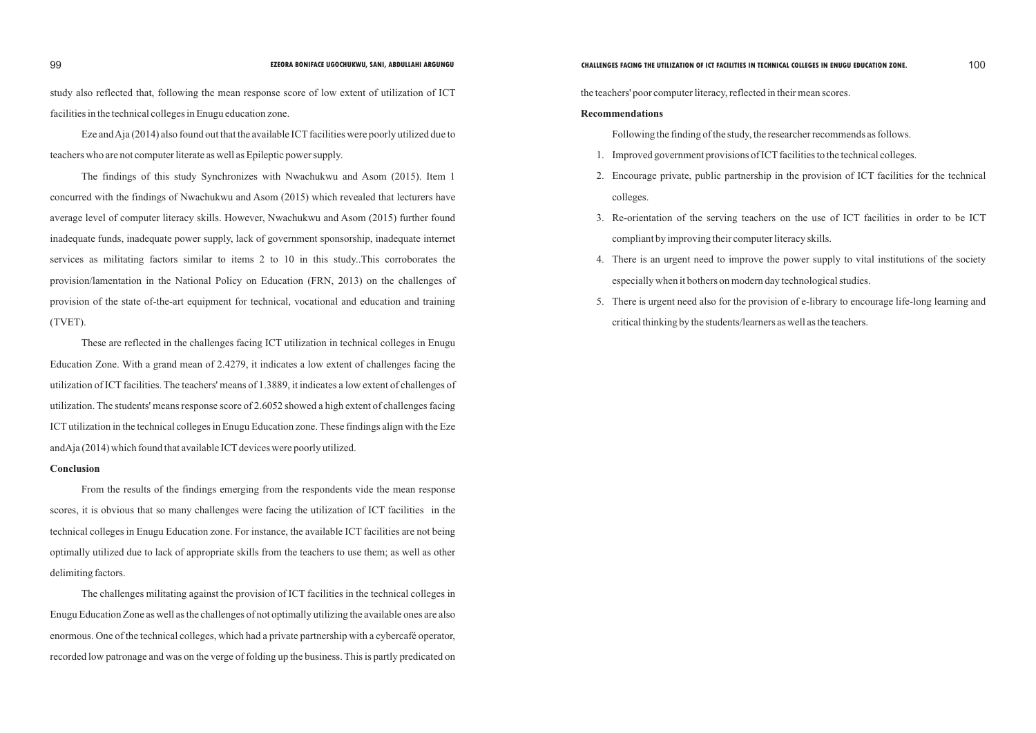study also reflected that, following the mean response score of low extent of utilization of ICT facilities in the technical colleges in Enugu education zone.

Eze and Aja (2014) also found out that the available ICT facilities were poorly utilized due to teachers who are not computer literate as well as Epileptic power supply.

These are reflected in the challenges facing ICT utilization in technical colleges in Enugu Education Zone. With a grand mean of 2.4279, it indicates a low extent of challenges facing the utilization of ICT facilities. The teachers' means of 1.3889, it indicates a low extent of challenges of utilization. The students' means response score of 2.6052 showed a high extent of challenges facing ICTutilization in the technical colleges in Enugu Education zone. These findings align with the Eze and $A$ ja (2014) which found that available ICT devices were poorly utilized.

The findings of this study Synchronizes with Nwachukwu and Asom (2015). Item 1 concurred with the findings of Nwachukwu and Asom (2015) which revealed that lecturers have average level of computer literacy skills. However, Nwachukwu and Asom (2015) further found inadequate funds, inadequate power supply, lack of government sponsorship, inadequate internet services as militating factors similar to items 2 to 10 in this study..This corroborates the provision/lamentation in the National Policy on Education (FRN, 2013) on the challenges of provision of the state of-the-art equipment for technical, vocational and education and training (TVET).

### **Conclusion**

- 1. Improved government provisions of ICT facilities to the technical colleges.
- 2. Encourage private, public partnership in the provision of ICT facilities for the technical colleges.
- 3. Re-orientation of the serving teachers on the use of ICT facilities in order to be ICT compliant by improving their computer literacy skills.
- 4. There is an urgent need to improve the power supply to vital institutions of the society especially when it bothers on modern day technological studies.
- 5. There is urgent need also for the provision of e-library to encourage life-long learning and critical thinking by the students/learners as well as the teachers.

From the results of the findings emerging from the respondents vide the mean response scores, it is obvious that so many challenges were facing the utilization of ICT facilities in the technical colleges in Enugu Education zone. For instance, the available ICT facilities are not being optimally utilized due to lack of appropriate skills from the teachers to use them; as well as other delimiting factors.

The challenges militating against the provision of ICT facilities in the technical colleges in Enugu Education Zone as well as the challenges of not optimally utilizing the available ones are also enormous. One of the technical colleges, which had a private partnership with a cybercafé operator, recorded low patronage and was on the verge of folding up the business. This is partly predicated on the teachers' poor computer literacy, reflected in their mean scores.

### **Recommendations**

Following the finding of the study, the researcher recommends as follows.